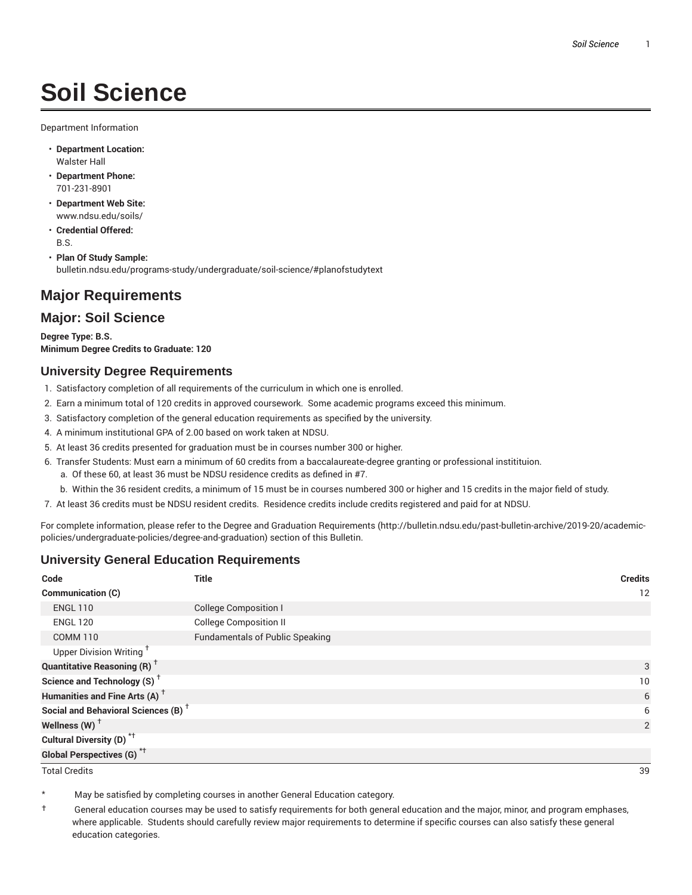# **Soil Science**

Department Information

- **Department Location:** Walster Hall
- **Department Phone:** 701-231-8901
- **Department Web Site:** www.ndsu.edu/soils/
- **Credential Offered:** B.S.
- **Plan Of Study Sample:** bulletin.ndsu.edu/programs-study/undergraduate/soil-science/#planofstudytext

# **Major Requirements**

### **Major: Soil Science**

**Degree Type: B.S. Minimum Degree Credits to Graduate: 120**

### **University Degree Requirements**

- 1. Satisfactory completion of all requirements of the curriculum in which one is enrolled.
- 2. Earn a minimum total of 120 credits in approved coursework. Some academic programs exceed this minimum.
- 3. Satisfactory completion of the general education requirements as specified by the university.
- 4. A minimum institutional GPA of 2.00 based on work taken at NDSU.
- 5. At least 36 credits presented for graduation must be in courses number 300 or higher.
- 6. Transfer Students: Must earn a minimum of 60 credits from a baccalaureate-degree granting or professional institituion.
	- a. Of these 60, at least 36 must be NDSU residence credits as defined in #7.
	- b. Within the 36 resident credits, a minimum of 15 must be in courses numbered 300 or higher and 15 credits in the major field of study.
- 7. At least 36 credits must be NDSU resident credits. Residence credits include credits registered and paid for at NDSU.

For complete information, please refer to the Degree and Graduation Requirements (http://bulletin.ndsu.edu/past-bulletin-archive/2019-20/academicpolicies/undergraduate-policies/degree-and-graduation) section of this Bulletin.

### **University General Education Requirements**

| Code                                            | <b>Title</b>                           | <b>Credits</b> |
|-------------------------------------------------|----------------------------------------|----------------|
| Communication (C)                               |                                        | 12             |
| <b>ENGL 110</b>                                 | <b>College Composition I</b>           |                |
| <b>ENGL 120</b>                                 | <b>College Composition II</b>          |                |
| <b>COMM 110</b>                                 | <b>Fundamentals of Public Speaking</b> |                |
| Upper Division Writing <sup>+</sup>             |                                        |                |
| <b>Quantitative Reasoning (R)</b> <sup>†</sup>  |                                        | 3              |
| Science and Technology (S) <sup>+</sup>         |                                        | 10             |
| Humanities and Fine Arts (A) <sup>+</sup>       |                                        | 6              |
| Social and Behavioral Sciences (B) <sup>+</sup> |                                        | 6              |
| Wellness $(W)$ <sup>+</sup>                     |                                        | 2              |
| Cultural Diversity (D) <sup>*†</sup>            |                                        |                |
| <b>Global Perspectives (G)<sup>*†</sup></b>     |                                        |                |

Total Credits 39

May be satisfied by completing courses in another General Education category.

† General education courses may be used to satisfy requirements for both general education and the major, minor, and program emphases, where applicable. Students should carefully review major requirements to determine if specific courses can also satisfy these general education categories.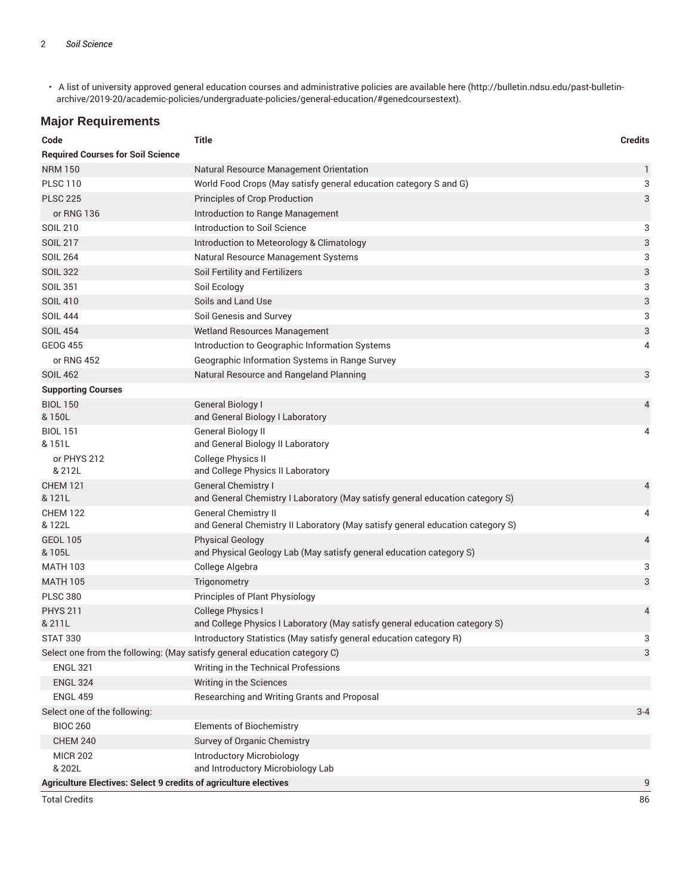• A list of university approved general education courses and administrative policies are available here (http://bulletin.ndsu.edu/past-bulletinarchive/2019-20/academic-policies/undergraduate-policies/general-education/#genedcoursestext).

# **Major Requirements**

| Code                                                                         | <b>Title</b>                                                                                                | <b>Credits</b> |  |
|------------------------------------------------------------------------------|-------------------------------------------------------------------------------------------------------------|----------------|--|
| <b>Required Courses for Soil Science</b>                                     |                                                                                                             |                |  |
| <b>NRM 150</b>                                                               | Natural Resource Management Orientation                                                                     | 1              |  |
| <b>PLSC 110</b>                                                              | World Food Crops (May satisfy general education category S and G)                                           | 3              |  |
| <b>PLSC 225</b>                                                              | Principles of Crop Production                                                                               | 3              |  |
| or RNG 136                                                                   | Introduction to Range Management                                                                            |                |  |
| <b>SOIL 210</b>                                                              | Introduction to Soil Science                                                                                | 3              |  |
| <b>SOIL 217</b>                                                              | Introduction to Meteorology & Climatology                                                                   | 3              |  |
| <b>SOIL 264</b>                                                              | Natural Resource Management Systems                                                                         | 3              |  |
| <b>SOIL 322</b>                                                              | Soil Fertility and Fertilizers                                                                              | 3              |  |
| <b>SOIL 351</b>                                                              | Soil Ecology                                                                                                | 3              |  |
| <b>SOIL 410</b>                                                              | Soils and Land Use                                                                                          | 3              |  |
| <b>SOIL 444</b>                                                              | Soil Genesis and Survey                                                                                     | 3              |  |
| <b>SOIL 454</b>                                                              | Wetland Resources Management                                                                                | 3              |  |
| <b>GEOG 455</b>                                                              | Introduction to Geographic Information Systems                                                              | 4              |  |
| or RNG 452                                                                   | Geographic Information Systems in Range Survey                                                              |                |  |
| <b>SOIL 462</b>                                                              | Natural Resource and Rangeland Planning                                                                     | 3              |  |
| <b>Supporting Courses</b>                                                    |                                                                                                             |                |  |
| <b>BIOL 150</b><br>& 150L                                                    | General Biology I<br>and General Biology I Laboratory                                                       | 4              |  |
| <b>BIOL 151</b>                                                              | General Biology II                                                                                          | 4              |  |
| & 151L                                                                       | and General Biology II Laboratory                                                                           |                |  |
| or PHYS 212<br>& 212L                                                        | <b>College Physics II</b><br>and College Physics II Laboratory                                              |                |  |
| <b>CHEM 121</b><br>& 121L                                                    | <b>General Chemistry I</b><br>and General Chemistry I Laboratory (May satisfy general education category S) | 4              |  |
| <b>CHEM 122</b>                                                              | <b>General Chemistry II</b>                                                                                 | 4              |  |
| & 122L                                                                       | and General Chemistry II Laboratory (May satisfy general education category S)                              |                |  |
| <b>GEOL 105</b><br>& 105L                                                    | <b>Physical Geology</b><br>and Physical Geology Lab (May satisfy general education category S)              | 4              |  |
| <b>MATH 103</b>                                                              | College Algebra                                                                                             | 3              |  |
| <b>MATH 105</b>                                                              | Trigonometry                                                                                                | 3              |  |
| <b>PLSC 380</b>                                                              | Principles of Plant Physiology                                                                              |                |  |
| <b>PHYS 211</b>                                                              | <b>College Physics I</b>                                                                                    | 4              |  |
| & 211L                                                                       | and College Physics I Laboratory (May satisfy general education category S)                                 |                |  |
| <b>STAT 330</b>                                                              | Introductory Statistics (May satisfy general education category R)                                          | 3              |  |
|                                                                              | Select one from the following: (May satisfy general education category C)                                   | 3              |  |
| <b>ENGL 321</b>                                                              | Writing in the Technical Professions                                                                        |                |  |
| <b>ENGL 324</b>                                                              | Writing in the Sciences                                                                                     |                |  |
| <b>ENGL 459</b>                                                              | Researching and Writing Grants and Proposal                                                                 |                |  |
| Select one of the following:                                                 |                                                                                                             | $3 - 4$        |  |
| <b>BIOC 260</b>                                                              | <b>Elements of Biochemistry</b>                                                                             |                |  |
| <b>CHEM 240</b>                                                              | Survey of Organic Chemistry                                                                                 |                |  |
| <b>MICR 202</b>                                                              | <b>Introductory Microbiology</b>                                                                            |                |  |
| & 202L                                                                       | and Introductory Microbiology Lab                                                                           |                |  |
| <b>Agriculture Electives: Select 9 credits of agriculture electives</b><br>9 |                                                                                                             |                |  |

Total Credits 86